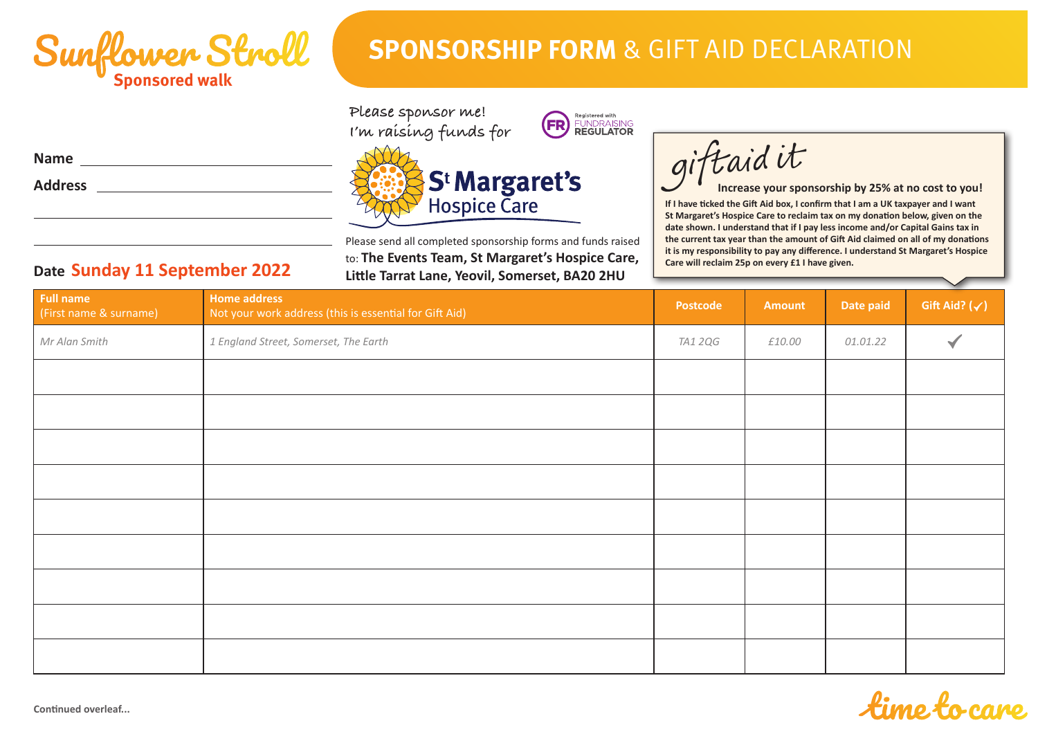

**Date Sunday 11 September 2022**

## **SPONSORSHIP FORM** & GIFT AID DECLARATION

ſ

giftaid it

**Please sponsor me! I'm raising funds for**





Please send all completed sponsorship forms and funds raised to: **The Events Team, St Margaret's Hospice Care, Little Tarrat Lane, Yeovil, Somerset, BA20 2HU**

**If I have ticked the Gift Aid box, I confirm that I am a UK taxpayer and I want St Margaret's Hospice Care to reclaim tax on my donation below, given on the date shown. I understand that if I pay less income and/or Capital Gains tax in the current tax year than the amount of Gift Aid claimed on all of my donations it is my responsibility to pay any difference. I understand St Margaret's Hospice Care will reclaim 25p on every £1 I have given. Increase your sponsorship by 25% at no cost to you!**

| <b>Full name</b><br>(First name & surname) | <b>Home address</b><br>Not your work address (this is essential for Gift Aid) | Postcode       | <b>Amount</b> | Date paid | $\sim$<br>Gift Aid? $(\checkmark)$ |
|--------------------------------------------|-------------------------------------------------------------------------------|----------------|---------------|-----------|------------------------------------|
| Mr Alan Smith                              | 1 England Street, Somerset, The Earth                                         | <b>TA1 2QG</b> | £10.00        | 01.01.22  |                                    |
|                                            |                                                                               |                |               |           |                                    |
|                                            |                                                                               |                |               |           |                                    |
|                                            |                                                                               |                |               |           |                                    |
|                                            |                                                                               |                |               |           |                                    |
|                                            |                                                                               |                |               |           |                                    |
|                                            |                                                                               |                |               |           |                                    |
|                                            |                                                                               |                |               |           |                                    |
|                                            |                                                                               |                |               |           |                                    |
|                                            |                                                                               |                |               |           |                                    |

## **Continued overleaf...**

**Name**

**Address**